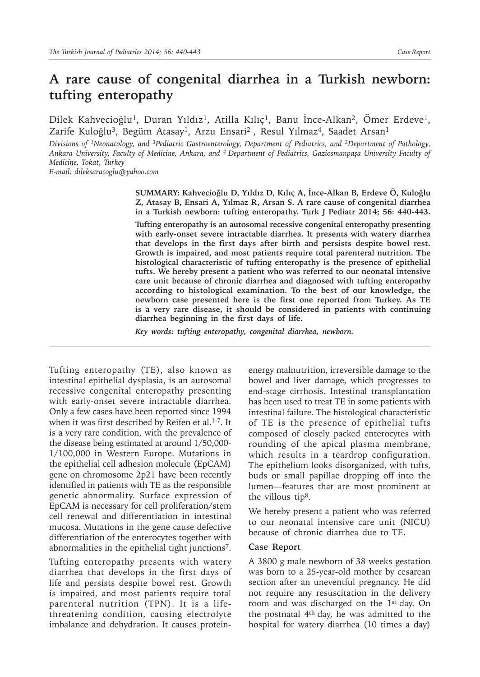# **A rare cause of congenital diarrhea in a Turkish newborn: tufting enteropathy**

Dilek Kahvecioğlu<sup>1</sup>, Duran Yıldız<sup>1</sup>, Atilla Kılıç<sup>1</sup>, Banu İnce-Alkan<sup>2</sup>, Ömer Erdeve<sup>1</sup>, Zarife Kuloğlu<sup>3</sup>, Begüm Atasay<sup>1</sup>, Arzu Ensari<sup>2</sup>, Resul Yılmaz<sup>4</sup>, Saadet Arsan<sup>1</sup>

*Divisions of 1Neonatology, and 3Pediatric Gastroenterology, Department of Pediatrics, and 2Department of Pathology, Ankara University, Faculty of Medicine, Ankara, and 4 Department of Pediatrics, Gaziosmanpaşa University Faculty of Medicine, Tokat, Turkey*

*E-mail: dileksaracoglu@yahoo.com*

**SUMMARY: Kahvecioğlu D, Yıldız D, Kılıç A, İnce-Alkan B, Erdeve Ö, Kuloğlu Z, Atasay B, Ensari A, Yılmaz R, Arsan S. A rare cause of congenital diarrhea in a Turkish newborn: tufting enteropathy. Turk J Pediatr 2014; 56: 440-443.**

**Tufting enteropathy is an autosomal recessive congenital enteropathy presenting with early-onset severe intractable diarrhea. It presents with watery diarrhea that develops in the first days after birth and persists despite bowel rest. Growth is impaired, and most patients require total parenteral nutrition. The histological characteristic of tufting enteropathy is the presence of epithelial tufts. We hereby present a patient who was referred to our neonatal intensive care unit because of chronic diarrhea and diagnosed with tufting enteropathy according to histological examination. To the best of our knowledge, the newborn case presented here is the first one reported from Turkey. As TE is a very rare disease, it should be considered in patients with continuing diarrhea beginning in the first days of life.**

*Key words: tufting enteropathy, congenital diarrhea, newborn.*

Tufting enteropathy (TE), also known as intestinal epithelial dysplasia, is an autosomal recessive congenital enteropathy presenting with early-onset severe intractable diarrhea. Only a few cases have been reported since 1994 when it was first described by Reifen et al.<sup>1-7</sup>. It is a very rare condition, with the prevalence of the disease being estimated at around 1/50,000- 1/100,000 in Western Europe. Mutations in the epithelial cell adhesion molecule (EpCAM) gene on chromosome 2p21 have been recently identified in patients with TE as the responsible genetic abnormality. Surface expression of EpCAM is necessary for cell proliferation/stem cell renewal and differentiation in intestinal mucosa. Mutations in the gene cause defective differentiation of the enterocytes together with abnormalities in the epithelial tight junctions<sup>7</sup>.

Tufting enteropathy presents with watery diarrhea that develops in the first days of life and persists despite bowel rest. Growth is impaired, and most patients require total parenteral nutrition (TPN). It is a lifethreatening condition, causing electrolyte imbalance and dehydration. It causes proteinenergy malnutrition, irreversible damage to the bowel and liver damage, which progresses to end-stage cirrhosis. Intestinal transplantation has been used to treat TE in some patients with intestinal failure. The histological characteristic of TE is the presence of epithelial tufts composed of closely packed enterocytes with rounding of the apical plasma membrane, which results in a teardrop configuration. The epithelium looks disorganized, with tufts, buds or small papillae dropping off into the lumen—features that are most prominent at the villous tip<sup>8</sup>.

We hereby present a patient who was referred to our neonatal intensive care unit (NICU) because of chronic diarrhea due to TE.

#### **Case Report**

A 3800 g male newborn of 38 weeks gestation was born to a 25-year-old mother by cesarean section after an uneventful pregnancy. He did not require any resuscitation in the delivery room and was discharged on the 1<sup>st</sup> day. On the postnatal 4th day, he was admitted to the hospital for watery diarrhea (10 times a day)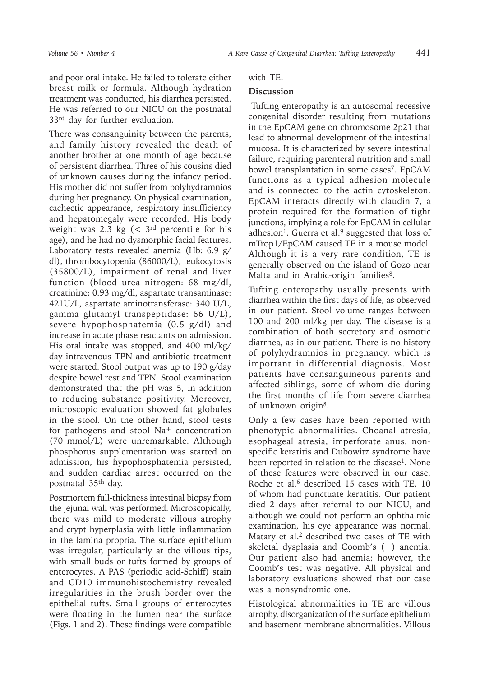and poor oral intake. He failed to tolerate either breast milk or formula. Although hydration treatment was conducted, his diarrhea persisted. He was referred to our NICU on the postnatal 33rd day for further evaluation.

There was consanguinity between the parents, and family history revealed the death of another brother at one month of age because of persistent diarrhea. Three of his cousins died of unknown causes during the infancy period. His mother did not suffer from polyhydramnios during her pregnancy. On physical examination, cachectic appearance, respiratory insufficiency and hepatomegaly were recorded. His body weight was 2.3 kg  $\left($  < 3<sup>rd</sup> percentile for his age), and he had no dysmorphic facial features. Laboratory tests revealed anemia (Hb: 6.9 g/ dl), thrombocytopenia (86000/L), leukocytosis (35800/L), impairment of renal and liver function (blood urea nitrogen: 68 mg/dl, creatinine: 0.93 mg/dl, aspartate transaminase: 421U/L, aspartate aminotransferase: 340 U/L, gamma glutamyl transpeptidase: 66 U/L), severe hypophosphatemia (0.5 g/dl) and increase in acute phase reactants on admission. His oral intake was stopped, and 400 ml/kg/ day intravenous TPN and antibiotic treatment were started. Stool output was up to 190 g/day despite bowel rest and TPN. Stool examination demonstrated that the pH was 5, in addition to reducing substance positivity. Moreover, microscopic evaluation showed fat globules in the stool. On the other hand, stool tests for pathogens and stool Na+ concentration (70 mmol/L) were unremarkable. Although phosphorus supplementation was started on admission, his hypophosphatemia persisted, and sudden cardiac arrest occurred on the postnatal 35th day.

Postmortem full-thickness intestinal biopsy from the jejunal wall was performed. Microscopically, there was mild to moderate villous atrophy and crypt hyperplasia with little inflammation in the lamina propria. The surface epithelium was irregular, particularly at the villous tips, with small buds or tufts formed by groups of enterocytes. A PAS (periodic acid-Schiff) stain and CD10 immunohistochemistry revealed irregularities in the brush border over the epithelial tufts. Small groups of enterocytes were floating in the lumen near the surface (Figs. 1 and 2). These findings were compatible

## with TE.

## **Discussion**

 Tufting enteropathy is an autosomal recessive congenital disorder resulting from mutations in the EpCAM gene on chromosome 2p21 that lead to abnormal development of the intestinal mucosa. It is characterized by severe intestinal failure, requiring parenteral nutrition and small bowel transplantation in some cases<sup>7</sup>. EpCAM functions as a typical adhesion molecule and is connected to the actin cytoskeleton. EpCAM interacts directly with claudin 7, a protein required for the formation of tight junctions, implying a role for EpCAM in cellular adhesion<sup>1</sup>. Guerra et al.<sup>9</sup> suggested that loss of mTrop1/EpCAM caused TE in a mouse model. Although it is a very rare condition, TE is generally observed on the island of Gozo near Malta and in Arabic-origin families<sup>8</sup>.

Tufting enteropathy usually presents with diarrhea within the first days of life, as observed in our patient. Stool volume ranges between 100 and 200 ml/kg per day. The disease is a combination of both secretory and osmotic diarrhea, as in our patient. There is no history of polyhydramnios in pregnancy, which is important in differential diagnosis. Most patients have consanguineous parents and affected siblings, some of whom die during the first months of life from severe diarrhea of unknown origin8.

Only a few cases have been reported with phenotypic abnormalities. Choanal atresia, esophageal atresia, imperforate anus, nonspecific keratitis and Dubowitz syndrome have been reported in relation to the disease<sup>1</sup>. None of these features were observed in our case. Roche et al.<sup>6</sup> described 15 cases with TE, 10 of whom had punctuate keratitis. Our patient died 2 days after referral to our NICU, and although we could not perform an ophthalmic examination, his eye appearance was normal. Matary et al.<sup>2</sup> described two cases of TE with skeletal dysplasia and Coomb's (+) anemia. Our patient also had anemia; however, the Coomb's test was negative. All physical and laboratory evaluations showed that our case was a nonsyndromic one.

Histological abnormalities in TE are villous atrophy, disorganization of the surface epithelium and basement membrane abnormalities. Villous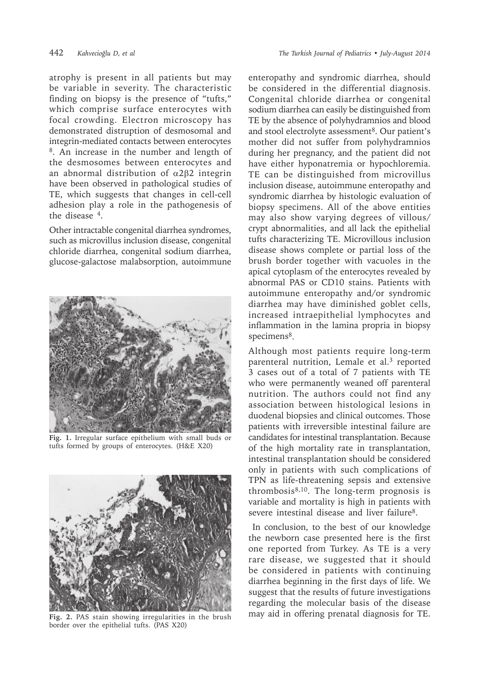atrophy is present in all patients but may be variable in severity. The characteristic finding on biopsy is the presence of "tufts," which comprise surface enterocytes with focal crowding. Electron microscopy has demonstrated distruption of desmosomal and integrin-mediated contacts between enterocytes 8. An increase in the number and length of the desmosomes between enterocytes and an abnormal distribution of α2β2 integrin have been observed in pathological studies of TE, which suggests that changes in cell-cell adhesion play a role in the pathogenesis of the disease 4.

Other intractable congenital diarrhea syndromes, such as microvillus inclusion disease, congenital chloride diarrhea, congenital sodium diarrhea, glucose-galactose malabsorption, autoimmune



**Fig. 1.** Irregular surface epithelium with small buds or tufts formed by groups of enterocytes. (H&E X20)



**Fig. 2.** PAS stain showing irregularities in the brush border over the epithelial tufts. (PAS X20)

enteropathy and syndromic diarrhea, should be considered in the differential diagnosis. Congenital chloride diarrhea or congenital sodium diarrhea can easily be distinguished from TE by the absence of polyhydramnios and blood and stool electrolyte assessment<sup>8</sup>. Our patient's mother did not suffer from polyhydramnios during her pregnancy, and the patient did not have either hyponatremia or hypochloremia. TE can be distinguished from microvillus inclusion disease, autoimmune enteropathy and syndromic diarrhea by histologic evaluation of biopsy specimens. All of the above entities may also show varying degrees of villous/ crypt abnormalities, and all lack the epithelial tufts characterizing TE. Microvillous inclusion disease shows complete or partial loss of the brush border together with vacuoles in the apical cytoplasm of the enterocytes revealed by abnormal PAS or CD10 stains. Patients with autoimmune enteropathy and/or syndromic diarrhea may have diminished goblet cells, increased intraepithelial lymphocytes and inflammation in the lamina propria in biopsy specimens<sup>8</sup>.

Although most patients require long-term parenteral nutrition, Lemale et al.<sup>3</sup> reported 3 cases out of a total of 7 patients with TE who were permanently weaned off parenteral nutrition. The authors could not find any association between histological lesions in duodenal biopsies and clinical outcomes. Those patients with irreversible intestinal failure are candidates for intestinal transplantation. Because of the high mortality rate in transplantation, intestinal transplantation should be considered only in patients with such complications of TPN as life-threatening sepsis and extensive thrombosis $8,10$ . The long-term prognosis is variable and mortality is high in patients with severe intestinal disease and liver failure<sup>8</sup>.

 In conclusion, to the best of our knowledge the newborn case presented here is the first one reported from Turkey. As TE is a very rare disease, we suggested that it should be considered in patients with continuing diarrhea beginning in the first days of life. We suggest that the results of future investigations regarding the molecular basis of the disease may aid in offering prenatal diagnosis for TE.